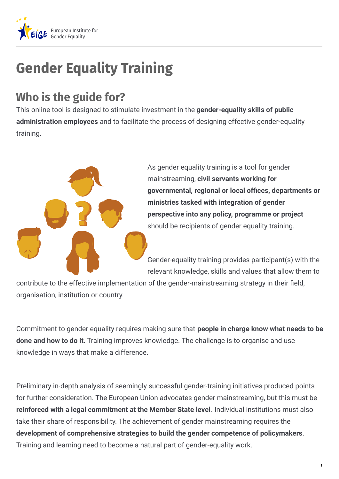

## **Gender Equality Training**

## **Who is the guide for?**

This online tool is designed to stimulate investment in the **gender-equality skills of public administration employees** and to facilitate the process of designing effective gender-equality training.



As gender equality training is a tool for gender mainstreaming, **civil servants working for governmental, regional or local oces, departments or ministries tasked with integration of gender perspective into any policy, programme or project** should be recipients of gender equality training.

Gender-equality training provides participant(s) with the relevant knowledge, skills and values that allow them to

contribute to the effective implementation of the gender-mainstreaming strategy in their field, organisation, institution or country.

Commitment to gender equality requires making sure that **people in charge know what needs to be done and how to do it**. Training improves knowledge. The challenge is to organise and use knowledge in ways that make a difference.

Preliminary in-depth analysis of seemingly successful gender-training initiatives produced points for further consideration. The European Union advocates gender mainstreaming, but this must be **reinforced with a legal commitment at the Member State level**. Individual institutions must also take their share of responsibility. The achievement of gender mainstreaming requires the **development of comprehensive strategies to build the gender competence of policymakers**. Training and learning need to become a natural part of gender-equality work.